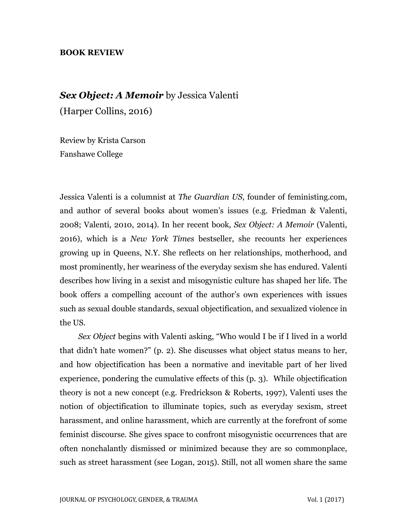## **BOOK REVIEW**

## *Sex Object: A Memoir* by Jessica Valenti

(Harper Collins, 2016)

Review by Krista Carson Fanshawe College

Jessica Valenti is a columnist at *The Guardian US*, founder of feministing.com, and author of several books about women's issues (e.g. Friedman & Valenti, 2008; Valenti, 2010, 2014). In her recent book, *Sex Object: A Memoir* (Valenti, 2016), which is a *New York Times* bestseller, she recounts her experiences growing up in Queens, N.Y. She reflects on her relationships, motherhood, and most prominently, her weariness of the everyday sexism she has endured. Valenti describes how living in a sexist and misogynistic culture has shaped her life. The book offers a compelling account of the author's own experiences with issues such as sexual double standards, sexual objectification, and sexualized violence in the US.

*Sex Object* begins with Valenti asking, "Who would I be if I lived in a world that didn't hate women?" (p. 2). She discusses what object status means to her, and how objectification has been a normative and inevitable part of her lived experience, pondering the cumulative effects of this (p. 3). While objectification theory is not a new concept (e.g. Fredrickson & Roberts, 1997), Valenti uses the notion of objectification to illuminate topics, such as everyday sexism, street harassment, and online harassment, which are currently at the forefront of some feminist discourse. She gives space to confront misogynistic occurrences that are often nonchalantly dismissed or minimized because they are so commonplace, such as street harassment (see Logan, 2015). Still, not all women share the same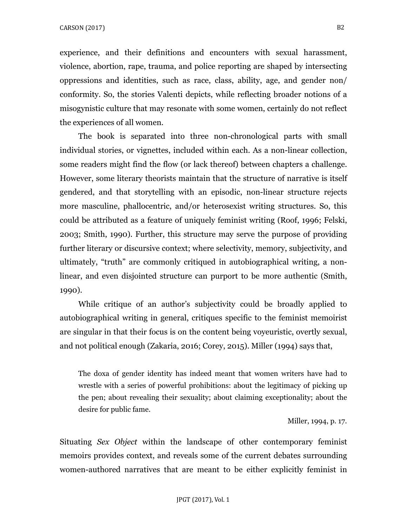experience, and their definitions and encounters with sexual harassment, violence, abortion, rape, trauma, and police reporting are shaped by intersecting oppressions and identities, such as race, class, ability, age, and gender non/ conformity. So, the stories Valenti depicts, while reflecting broader notions of a misogynistic culture that may resonate with some women, certainly do not reflect the experiences of all women.

 The book is separated into three non-chronological parts with small individual stories, or vignettes, included within each. As a non-linear collection, some readers might find the flow (or lack thereof) between chapters a challenge. However, some literary theorists maintain that the structure of narrative is itself gendered, and that storytelling with an episodic, non-linear structure rejects more masculine, phallocentric, and/or heterosexist writing structures. So, this could be attributed as a feature of uniquely feminist writing (Roof, 1996; Felski, 2003; Smith, 1990). Further, this structure may serve the purpose of providing further literary or discursive context; where selectivity, memory, subjectivity, and ultimately, "truth" are commonly critiqued in autobiographical writing, a nonlinear, and even disjointed structure can purport to be more authentic (Smith, 1990).

 While critique of an author's subjectivity could be broadly applied to autobiographical writing in general, critiques specific to the feminist memoirist are singular in that their focus is on the content being voyeuristic, overtly sexual, and not political enough (Zakaria, 2016; Corey, 2015). Miller (1994) says that,

The doxa of gender identity has indeed meant that women writers have had to wrestle with a series of powerful prohibitions: about the legitimacy of picking up the pen; about revealing their sexuality; about claiming exceptionality; about the desire for public fame.

Miller, 1994, p. 17.

Situating *Sex Object* within the landscape of other contemporary feminist memoirs provides context, and reveals some of the current debates surrounding women-authored narratives that are meant to be either explicitly feminist in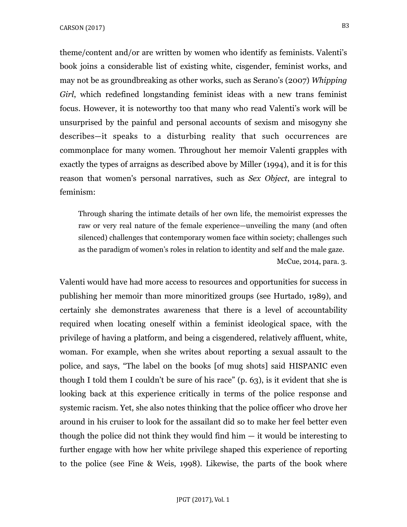theme/content and/or are written by women who identify as feminists. Valenti's book joins a considerable list of existing white, cisgender, feminist works, and may not be as groundbreaking as other works, such as Serano's (2007) *Whipping Girl*, which redefined longstanding feminist ideas with a new trans feminist focus. However, it is noteworthy too that many who read Valenti's work will be unsurprised by the painful and personal accounts of sexism and misogyny she describes—it speaks to a disturbing reality that such occurrences are commonplace for many women. Throughout her memoir Valenti grapples with exactly the types of arraigns as described above by Miller (1994), and it is for this reason that women's personal narratives, such as *Sex Object*, are integral to feminism:

Through sharing the intimate details of her own life, the memoirist expresses the raw or very real nature of the female experience—unveiling the many (and often silenced) challenges that contemporary women face within society; challenges such as the paradigm of women's roles in relation to identity and self and the male gaze. McCue, 2014, para. 3.

Valenti would have had more access to resources and opportunities for success in publishing her memoir than more minoritized groups (see Hurtado, 1989), and certainly she demonstrates awareness that there is a level of accountability required when locating oneself within a feminist ideological space, with the privilege of having a platform, and being a cisgendered, relatively affluent, white, woman. For example, when she writes about reporting a sexual assault to the police, and says, "The label on the books [of mug shots] said HISPANIC even though I told them I couldn't be sure of his race" (p. 63), is it evident that she is looking back at this experience critically in terms of the police response and systemic racism. Yet, she also notes thinking that the police officer who drove her around in his cruiser to look for the assailant did so to make her feel better even though the police did not think they would find him  $-$  it would be interesting to further engage with how her white privilege shaped this experience of reporting to the police (see Fine & Weis, 1998). Likewise, the parts of the book where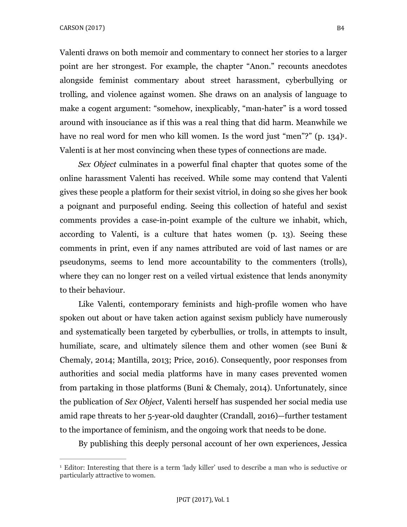Valenti draws on both memoir and commentary to connect her stories to a larger point are her strongest. For example, the chapter "Anon." recounts anecdotes alongside feminist commentary about street harassment, cyberbullying or trolling, and violence against women. She draws on an analysis of language to make a cogent argument: "somehow, inexplicably, "man-hater" is a word tossed around with insouciance as if this was a real thing that did harm. Meanwhile we have no real word for men who kill women. Is the word just "men"?" (p. [1](#page-3-0)34)<sup>1</sup>. Valenti is at her most convincing when these types of connections are made.

<span id="page-3-1"></span>*Sex Object* culminates in a powerful final chapter that quotes some of the online harassment Valenti has received. While some may contend that Valenti gives these people a platform for their sexist vitriol, in doing so she gives her book a poignant and purposeful ending. Seeing this collection of hateful and sexist comments provides a case-in-point example of the culture we inhabit, which, according to Valenti, is a culture that hates women (p. 13). Seeing these comments in print, even if any names attributed are void of last names or are pseudonyms, seems to lend more accountability to the commenters (trolls), where they can no longer rest on a veiled virtual existence that lends anonymity to their behaviour.

 Like Valenti, contemporary feminists and high-profile women who have spoken out about or have taken action against sexism publicly have numerously and systematically been targeted by cyberbullies, or trolls, in attempts to insult, humiliate, scare, and ultimately silence them and other women (see Buni & Chemaly, 2014; Mantilla, 2013; Price, 2016). Consequently, poor responses from authorities and social media platforms have in many cases prevented women from partaking in those platforms (Buni & Chemaly, 2014). Unfortunately, since the publication of *Sex Object*, Valenti herself has suspended her social media use amid rape threats to her 5-year-old daughter (Crandall, 2016)—further testament to the importance of feminism, and the ongoing work that needs to be done.

By publishing this deeply personal account of her own experiences, Jessica

<span id="page-3-0"></span><sup>&</sup>lt;sup>[1](#page-3-1)</sup> Editor: Interesting that there is a term 'lady killer' used to describe a man who is seductive or particularly attractive to women.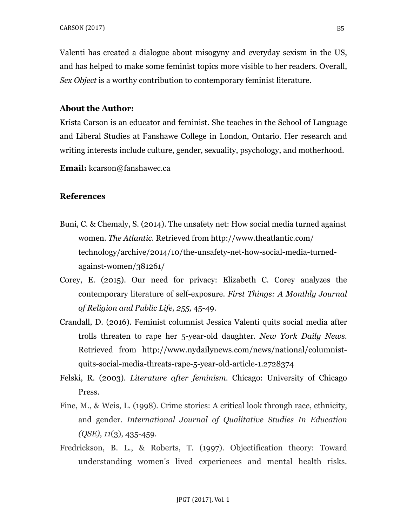Valenti has created a dialogue about misogyny and everyday sexism in the US, and has helped to make some feminist topics more visible to her readers. Overall, *Sex Object* is a worthy contribution to contemporary feminist literature.

## **About the Author:**

Krista Carson is an educator and feminist. She teaches in the School of Language and Liberal Studies at Fanshawe College in London, Ontario. Her research and writing interests include culture, gender, sexuality, psychology, and motherhood.

**Email:** kcarson@fanshawec.ca

## **References**

- Buni, C. & Chemaly, S. (2014). The unsafety net: How social media turned against women. *The Atlantic.* Retrieved from http://www.theatlantic.com/ technology/archive/2014/10/the-unsafety-net-how-social-media-turnedagainst-women/381261/
- Corey, E. (2015). Our need for privacy: Elizabeth C. Corey analyzes the contemporary literature of self-exposure. *First Things: A Monthly Journal of Religion and Public Life, 255,* 45-49.
- Crandall, D. (2016). Feminist columnist Jessica Valenti quits social media after trolls threaten to rape her 5-year-old daughter. *New York Daily News.* Retrieved from http://www.nydailynews.com/news/national/columnistquits-social-media-threats-rape-5-year-old-article-1.2728374
- Felski, R. (2003). *Literature after feminism.* Chicago: University of Chicago Press.
- Fine, M., & Weis, L. (1998). Crime stories: A critical look through race, ethnicity, and gender. *International Journal of Qualitative Studies In Education (QSE)*, *11*(3), 435-459.
- Fredrickson, B. L., & Roberts, T. (1997). Objectification theory: Toward understanding women's lived experiences and mental health risks.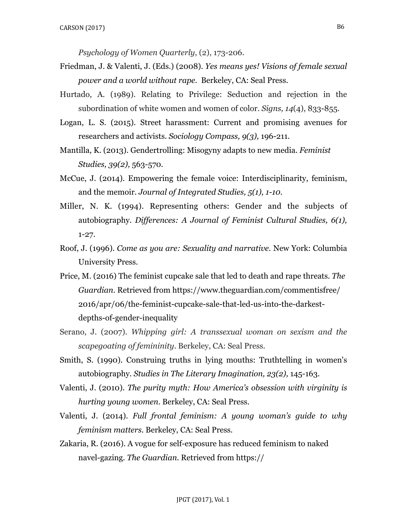*Psychology of Women Quarterly*, (2), 173-206.

- Friedman, J. & Valenti, J. (Eds.) (2008). *Yes means yes! Visions of female sexual power and a world without rape.* Berkeley, CA: Seal Press.
- Hurtado, A. (1989). Relating to Privilege: Seduction and rejection in the subordination of white women and women of color. *Signs, 14*(4), 833-855.
- Logan, L. S. (2015). Street harassment: Current and promising avenues for researchers and activists. *Sociology Compass, 9(3),* 196-211.
- Mantilla, K. (2013). Gendertrolling: Misogyny adapts to new media. *Feminist Studies, 39(2),* 563-570.
- McCue, J. (2014). Empowering the female voice: Interdisciplinarity, feminism, and the memoir. *Journal of Integrated Studies, 5(1), 1-10.*
- Miller, N. K. (1994). Representing others: Gender and the subjects of autobiography. *Differences: A Journal of Feminist Cultural Studies, 6(1),* 1-27.
- Roof, J. (1996). *Come as you are: Sexuality and narrative.* New York: Columbia University Press.
- Price, M. (2016) The feminist cupcake sale that led to death and rape threats. *The Guardian.* Retrieved from https://www.theguardian.com/commentisfree/ 2016/apr/06/the-feminist-cupcake-sale-that-led-us-into-the-darkestdepths-of-gender-inequality
- Serano, J. (2007). *Whipping girl: A transsexual woman on sexism and the scapegoating of femininity*. Berkeley, CA: Seal Press.
- Smith, S. (1990). Construing truths in lying mouths: Truthtelling in women's autobiography. *Studies in The Literary Imagination, 23(2),* 145-163.
- Valenti, J. (2010). *The purity myth: How America's obsession with virginity is hurting young women.* Berkeley, CA: Seal Press.
- Valenti, J. (2014). *Full frontal feminism: A young woman's guide to why feminism matters.* Berkeley, CA: Seal Press.
- Zakaria, R. (2016). A vogue for self-exposure has reduced feminism to naked navel-gazing. *The Guardian.* Retrieved from https://